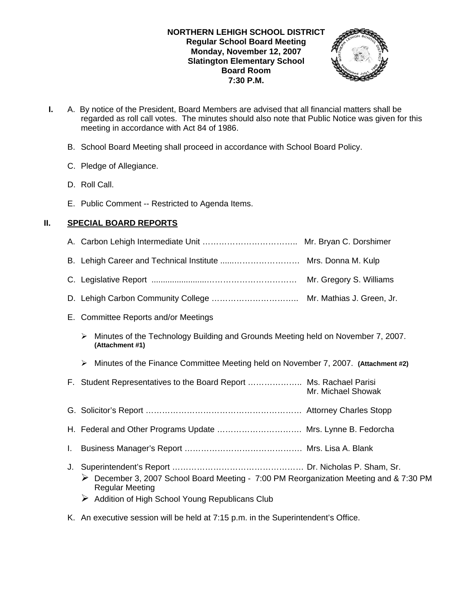#### **NORTHERN LEHIGH SCHOOL DISTRICT Regular School Board Meeting Monday, November 12, 2007 Slatington Elementary School Board Room 7:30 P.M.**



- **I.** A. By notice of the President, Board Members are advised that all financial matters shall be regarded as roll call votes. The minutes should also note that Public Notice was given for this meeting in accordance with Act 84 of 1986.
	- B. School Board Meeting shall proceed in accordance with School Board Policy.
	- C. Pledge of Allegiance.
	- D. Roll Call.
	- E. Public Comment -- Restricted to Agenda Items.

## **II. SPECIAL BOARD REPORTS**

- A. Carbon Lehigh Intermediate Unit …………………………….. Mr. Bryan C. Dorshimer B. Lehigh Career and Technical Institute ......…………………… Mrs. Donna M. Kulp C. Legislative Report ........................…………………………… Mr. Gregory S. Williams D. Lehigh Carbon Community College ………………………….. Mr. Mathias J. Green, Jr. E. Committee Reports and/or Meetings ¾ Minutes of the Technology Building and Grounds Meeting held on November 7, 2007. **(Attachment #1)** ¾ Minutes of the Finance Committee Meeting held on November 7, 2007. **(Attachment #2)** F. Student Representatives to the Board Report ……………….. Ms. Rachael Parisi Mr. Michael Showak G. Solicitor's Report ………………………………………………… Attorney Charles Stopp H. Federal and Other Programs Update …………………………. Mrs. Lynne B. Fedorcha I. Business Manager's Report ……………………………………. Mrs. Lisa A. Blank J. Superintendent's Report ………………………………………… Dr. Nicholas P. Sham, Sr. ¾ December 3, 2007 School Board Meeting - 7:00 PM Reorganization Meeting and & 7:30 PM Regular Meeting
	- $\triangleright$  Addition of High School Young Republicans Club
- K. An executive session will be held at 7:15 p.m. in the Superintendent's Office.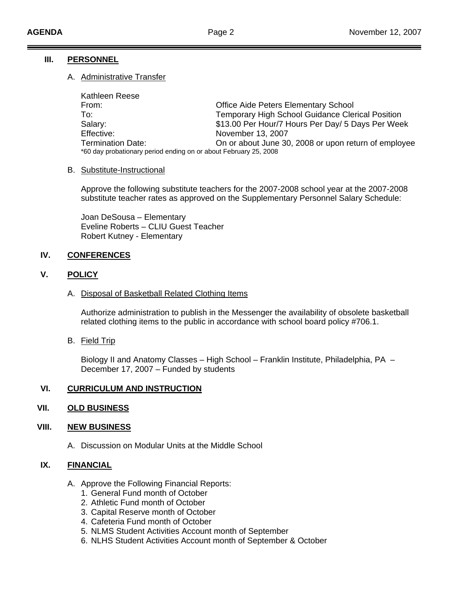## **III. PERSONNEL**

## A. Administrative Transfer

| Kathleen Reese                                                   |                                                         |
|------------------------------------------------------------------|---------------------------------------------------------|
| From:                                                            | <b>Office Aide Peters Elementary School</b>             |
| To:                                                              | <b>Temporary High School Guidance Clerical Position</b> |
| Salary:                                                          | \$13.00 Per Hour/7 Hours Per Day/ 5 Days Per Week       |
| Effective:                                                       | November 13, 2007                                       |
| <b>Termination Date:</b>                                         | On or about June 30, 2008 or upon return of employee    |
| *60 day probationary period ending on or about February 25, 2008 |                                                         |

#### B. Substitute-Instructional

Approve the following substitute teachers for the 2007-2008 school year at the 2007-2008 substitute teacher rates as approved on the Supplementary Personnel Salary Schedule:

Joan DeSousa – Elementary Eveline Roberts – CLIU Guest Teacher Robert Kutney - Elementary

## **IV. CONFERENCES**

## **V. POLICY**

#### A. Disposal of Basketball Related Clothing Items

 Authorize administration to publish in the Messenger the availability of obsolete basketball related clothing items to the public in accordance with school board policy #706.1.

B. Field Trip

Biology II and Anatomy Classes – High School – Franklin Institute, Philadelphia, PA – December 17, 2007 – Funded by students

## **VI. CURRICULUM AND INSTRUCTION**

## **VII. OLD BUSINESS**

## **VIII. NEW BUSINESS**

A. Discussion on Modular Units at the Middle School

## **IX. FINANCIAL**

- A. Approve the Following Financial Reports:
	- 1. General Fund month of October
	- 2. Athletic Fund month of October
	- 3. Capital Reserve month of October
	- 4. Cafeteria Fund month of October
	- 5. NLMS Student Activities Account month of September
	- 6. NLHS Student Activities Account month of September & October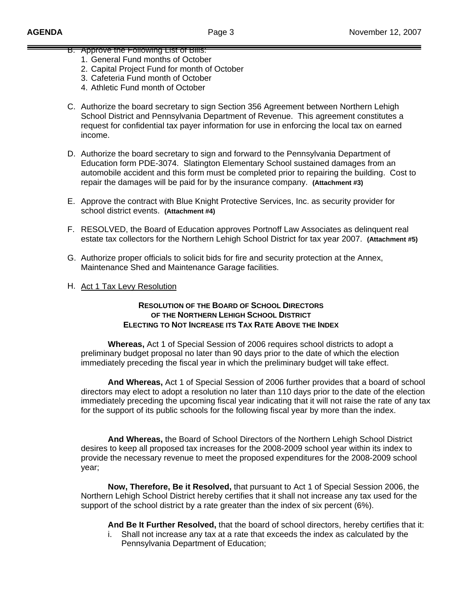# B. Approve the Following List of Bills:

- 1. General Fund months of October
- 2. Capital Project Fund for month of October
- 3. Cafeteria Fund month of October
- 4. Athletic Fund month of October
- C. Authorize the board secretary to sign Section 356 Agreement between Northern Lehigh School District and Pennsylvania Department of Revenue. This agreement constitutes a request for confidential tax payer information for use in enforcing the local tax on earned income.
- D. Authorize the board secretary to sign and forward to the Pennsylvania Department of Education form PDE-3074. Slatington Elementary School sustained damages from an automobile accident and this form must be completed prior to repairing the building. Cost to repair the damages will be paid for by the insurance company. **(Attachment #3)**
- E. Approve the contract with Blue Knight Protective Services, Inc. as security provider for school district events. **(Attachment #4)**
- F. RESOLVED, the Board of Education approves Portnoff Law Associates as delinquent real estate tax collectors for the Northern Lehigh School District for tax year 2007. **(Attachment #5)**
- G. Authorize proper officials to solicit bids for fire and security protection at the Annex, Maintenance Shed and Maintenance Garage facilities.
- H. Act 1 Tax Levy Resolution

#### **RESOLUTION OF THE BOARD OF SCHOOL DIRECTORS OF THE NORTHERN LEHIGH SCHOOL DISTRICT ELECTING TO NOT INCREASE ITS TAX RATE ABOVE THE INDEX**

 **Whereas,** Act 1 of Special Session of 2006 requires school districts to adopt a preliminary budget proposal no later than 90 days prior to the date of which the election immediately preceding the fiscal year in which the preliminary budget will take effect.

**And Whereas,** Act 1 of Special Session of 2006 further provides that a board of school directors may elect to adopt a resolution no later than 110 days prior to the date of the election immediately preceding the upcoming fiscal year indicating that it will not raise the rate of any tax for the support of its public schools for the following fiscal year by more than the index.

**And Whereas,** the Board of School Directors of the Northern Lehigh School District desires to keep all proposed tax increases for the 2008-2009 school year within its index to provide the necessary revenue to meet the proposed expenditures for the 2008-2009 school year;

**Now, Therefore, Be it Resolved,** that pursuant to Act 1 of Special Session 2006, the Northern Lehigh School District hereby certifies that it shall not increase any tax used for the support of the school district by a rate greater than the index of six percent (6%).

**And Be It Further Resolved,** that the board of school directors, hereby certifies that it:

i. Shall not increase any tax at a rate that exceeds the index as calculated by the Pennsylvania Department of Education;